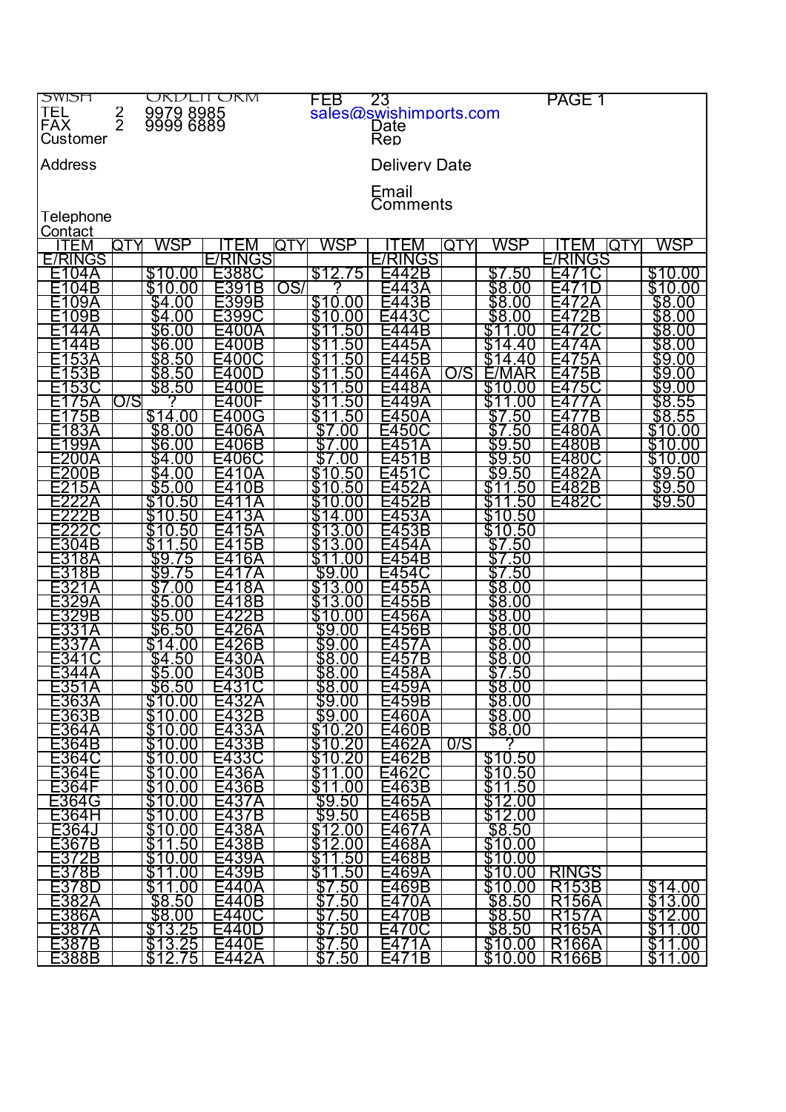| <b>NUPLI</b>   |               | OKDEIFOKM              |               | FEB             | 23                     |     |                         | PAGE 1             |             |
|----------------|---------------|------------------------|---------------|-----------------|------------------------|-----|-------------------------|--------------------|-------------|
| TEL            |               |                        |               |                 | sales@swishimports.com |     |                         |                    |             |
| <b>FAX</b>     | $\frac{2}{2}$ | 9979 8985<br>9999 6889 |               |                 |                        |     |                         |                    |             |
|                |               |                        |               |                 | Date                   |     |                         |                    |             |
| Customer       |               |                        |               |                 | Rep                    |     |                         |                    |             |
|                |               |                        |               |                 |                        |     |                         |                    |             |
| <b>Address</b> |               |                        |               |                 | <b>Delivery Date</b>   |     |                         |                    |             |
|                |               |                        |               |                 |                        |     |                         |                    |             |
|                |               |                        |               |                 | Email                  |     |                         |                    |             |
|                |               |                        |               |                 | Comments               |     |                         |                    |             |
|                |               |                        |               |                 |                        |     |                         |                    |             |
| Telephone      |               |                        |               |                 |                        |     |                         |                    |             |
| <u>Contact</u> |               |                        |               |                 |                        |     |                         |                    |             |
| ITEM           | QTY           | WSP                    | I EM          | WSP<br>QTY      | TEM                    | QTY | WSP                     | ΈM                 | WSP<br>QTY  |
| <b>E/RINGS</b> |               |                        | E/RINGS       |                 | <b>E/RINGS</b>         |     |                         | E/RINGS            |             |
|                |               |                        |               |                 |                        |     |                         |                    |             |
| E104A          |               | \$10.00                | E388C         | \$12.75         | E442B                  |     | \$7.50                  |                    | \$10.00     |
| E104B          |               | \$10.00                | E391B         | OS/             | :443A                  |     | \$8.00                  |                    | \$10.00     |
| 09A            |               | .00                    | E399B         | \$10.00         | ЗB                     |     | \$8<br>.00              |                    | \$8.00      |
| E109B          |               | \$4<br>.00             | E399C         | \$10<br>.00     | 3<br>-44               |     | \$8.00                  | 2B                 | \$8.00      |
|                |               | \$6.00                 |               | \$              |                        |     |                         |                    | \$8.00      |
| E1<br>44 A     |               |                        | UΑ            | .50             |                        |     |                         |                    |             |
| 44B            |               | \$6.00                 | E400B         | S<br>50         |                        |     |                         |                    | \$8.00      |
| 53A            |               | \$8.50                 | -400C         | .50             | E445B                  |     |                         | 5A                 | \$9.00      |
| 53B            |               | \$8<br>.50             | F400D         | 50              | 46A                    | O/S |                         | '5B                | \$9.00      |
|                |               | \$8.50                 |               |                 |                        |     | \$10                    |                    |             |
| 53C<br>E1      |               |                        | E400E         | \$<br>.50       | 48A<br>⊢⊿              |     | $_{00}$                 | '5C<br>-4          | \$9.00      |
| 75A            | O/S           |                        | E400F         | \$<br>.50       | .9A                    |     |                         |                    | \$8.55      |
| 75B            |               | \$14.00                | F400G         | \$<br>50        |                        |     | .50                     | Έ                  | \$8.55      |
| 83A            |               | \$8.00                 | E406A         | \$.<br>.OC      | ⊢450                   |     | .50                     |                    | \$10<br>.00 |
|                |               |                        |               |                 |                        |     |                         |                    |             |
| 99A            |               | \$6<br>.00             | E406B         | .00             |                        |     | \$9<br>.50              | 80B                | 10<br>00    |
| E200A          |               | \$4<br>.00             | E406C         | \$              | 1Β<br>5<br>⊢4          |     | \$9<br>50               | E480C              | \$10<br>.00 |
| E200B          |               | \$4.00                 |               | \$1<br>.50      | F45                    |     | \$9.50                  | 482A               | \$9.50      |
| 15A            |               | \$5.00                 | 0Β            | \$<br>50        |                        |     | \$1<br>50               | E482B              | \$9.50      |
|                |               |                        |               |                 |                        |     |                         | E482C              |             |
|                |               | \$1<br>50              |               | \$              |                        |     | 50                      |                    | \$9.50      |
| 22B            |               | 50                     |               | 4               | 3                      |     | .50                     |                    |             |
|                |               | S<br>50<br>10          | 5A<br>Н4      | \$<br>13<br>.00 | 3B<br>5<br>н4          |     | \$10.<br>50             |                    |             |
| E304B          |               | S<br>.50               | 5B            | \$13            |                        |     | \$7.50                  |                    |             |
|                |               |                        |               | \$              |                        |     |                         |                    |             |
| E318A          |               | \$9.<br>75             | 6А            |                 |                        |     | .50                     |                    |             |
| E318B          |               | \$9<br>15              |               | \$9.<br>.00     |                        |     | .50                     |                    |             |
|                |               | OU                     | 8Α            | .OC             | 5<br>5                 |     | \$8<br>.00              |                    |             |
| 29A            |               | \$5.00                 | 8B            | \$<br>13<br>.00 | 55B                    |     | \$8.00                  |                    |             |
| 329B           |               | \$5.00                 | 2B            | \$10            |                        |     | \$8.00                  |                    |             |
|                |               |                        |               | 00              | hΑ                     |     |                         |                    |             |
| F331A          |               | \$6.50                 | 26A           | \$9.00          | 56B                    |     | \$8.00                  |                    |             |
| E337A          |               | \$14.00                | E426B         | \$9.<br>.00     | ר45                    |     | \$8.00                  |                    |             |
|                |               | .50                    | 3<br>Ε4<br>OΑ | \$8<br>.00      | -4<br>5<br>7Β          |     | \$8.00                  |                    |             |
| E344A          |               | \$5.00                 | E430B         |                 | E458A                  |     | \$7.50                  |                    |             |
|                |               |                        |               | \$8.00          |                        |     |                         |                    |             |
| E351A          |               | \$6.50                 | E431C         | \$8.00          | E459A                  |     | \$8.00                  |                    |             |
| E363A          |               | \$10.00                | E432A         | \$9.00          | E459B                  |     | \$8.00                  |                    |             |
| E363B          |               | \$10.00                | E432B         | \$9.00          | E460A                  |     |                         |                    |             |
| E364A          |               | \$10.00                | E433A         | \$10.20         | E460B                  |     | <u>\$8.00</u><br>\$8.00 |                    |             |
|                |               |                        |               |                 |                        |     |                         |                    |             |
| E364B          |               | \$10.00                | E433B         | \$10.20         | E462A                  | 0/S |                         |                    |             |
| E364C          |               | \$10.00                | E433C         | \$10.20         | E462B                  |     | \$10.50                 |                    |             |
| E364E          |               | \$10.00                | E436A         | \$11.00         | E462C                  |     | \$10.50                 |                    |             |
| E364F          |               | \$10.00                | E436B         | \$11.00         | E463B                  |     | \$11.50                 |                    |             |
|                |               |                        |               |                 |                        |     |                         |                    |             |
| E364G          |               | \$10.00                | E437A         | \$9.50          | E465A                  |     | \$12.00                 |                    |             |
| E364H          |               | \$10.00                | E437B         | \$9.50          | E465B                  |     | \$12.00                 |                    |             |
| E364J          |               | \$10.00                | E438A         | \$12.00         | E467A                  |     | \$8.50                  |                    |             |
| E367B          |               | \$11.50                | E438B         | \$12.00         | E468A                  |     | \$10.00                 |                    |             |
|                |               |                        |               |                 |                        |     |                         |                    |             |
| E372B          |               | \$10.00                | E439A         | <u>\$11.50</u>  | E468B                  |     | \$10.00                 |                    |             |
| E378B          |               | \$11.00                | E439B         | \$11.50         | E469A                  |     | \$10.00                 | <b>RINGS</b>       |             |
| E378D          |               | \$11.00                | E440A         | \$7.50          | E469B                  |     | \$10.00                 | <b>R153B</b>       | \$14.00     |
| E382A          |               | \$8.50                 | E440B         | \$7.50          | E470A                  |     | \$8.50                  | <b>R156A</b>       | \$13.00     |
| E386A          |               | \$8.00                 | E440C         |                 |                        |     |                         | <b>R157A</b>       | \$12.00     |
|                |               |                        |               | \$7.50          | E470B                  |     | \$8.50                  |                    |             |
| <u>E387A</u>   |               | \$13.25                | E440D         | <u> \$7.50</u>  | E470C                  |     | \$8.50                  | R165A              | \$11.00     |
| E387B          |               | \$13.25                | E440E         | \$7.50          | E471A                  |     | \$10.00                 | R <sub>166</sub> A | \$11.00     |
| E388B          |               | \$12.75                | E442A         | \$7.50          | E471B                  |     | \$10.00                 | R <sub>166</sub> B | \$11.00     |